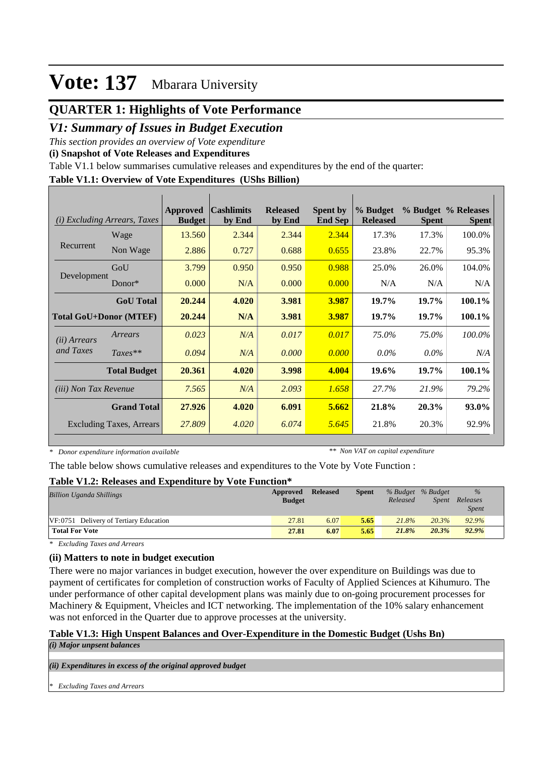## **QUARTER 1: Highlights of Vote Performance**

### *V1: Summary of Issues in Budget Execution*

*This section provides an overview of Vote expenditure* 

**(i) Snapshot of Vote Releases and Expenditures**

Table V1.1 below summarises cumulative releases and expenditures by the end of the quarter:

#### **Table V1.1: Overview of Vote Expenditures (UShs Billion)**

| (i)                          | <i>Excluding Arrears, Taxes</i> | <b>Approved</b><br><b>Budget</b> | <b>Cashlimits</b><br>by End | <b>Released</b><br>by End | <b>Spent by</b><br><b>End Sep</b> | % Budget<br><b>Released</b> | <b>Spent</b> | % Budget % Releases<br><b>Spent</b> |
|------------------------------|---------------------------------|----------------------------------|-----------------------------|---------------------------|-----------------------------------|-----------------------------|--------------|-------------------------------------|
|                              | Wage                            | 13.560                           | 2.344                       | 2.344                     | 2.344                             | 17.3%                       | 17.3%        | 100.0%                              |
| Recurrent                    | Non Wage                        | 2.886                            | 0.727                       | 0.688                     | 0.655                             | 23.8%                       | 22.7%        | 95.3%                               |
|                              | GoU                             | 3.799                            | 0.950                       | 0.950                     | 0.988                             | 25.0%                       | 26.0%        | 104.0%                              |
| Development                  | $Donor*$                        | 0.000                            | N/A                         | 0.000                     | 0.000                             | N/A                         | N/A          | N/A                                 |
|                              | <b>GoU</b> Total                | 20.244                           | 4.020                       | 3.981                     | 3.987                             | 19.7%                       | 19.7%        | 100.1%                              |
|                              | <b>Total GoU+Donor (MTEF)</b>   | 20.244                           | N/A                         | 3.981                     | 3.987                             | 19.7%                       | 19.7%        | 100.1%                              |
| ( <i>ii</i> ) Arrears        | Arrears                         | 0.023                            | N/A                         | 0.017                     | 0.017                             | 75.0%                       | 75.0%        | 100.0%                              |
| and Taxes                    | $Taxes**$                       | 0.094                            | N/A                         | 0.000                     | 0.000                             | $0.0\%$                     | $0.0\%$      | N/A                                 |
|                              | <b>Total Budget</b>             | 20.361                           | 4.020                       | 3.998                     | 4.004                             | 19.6%                       | 19.7%        | 100.1%                              |
| <i>(iii)</i> Non Tax Revenue |                                 | 7.565                            | N/A                         | 2.093                     | 1.658                             | 27.7%                       | 21.9%        | 79.2%                               |
| <b>Grand Total</b>           |                                 | 27.926                           | 4.020                       | 6.091                     | 5.662                             | 21.8%                       | 20.3%        | 93.0%                               |
|                              | <b>Excluding Taxes, Arrears</b> | 27.809                           | 4.020                       | 6.074                     | 5.645                             | 21.8%                       | 20.3%        | 92.9%                               |

*\* Donor expenditure information available*

*\*\* Non VAT on capital expenditure*

The table below shows cumulative releases and expenditures to the Vote by Vote Function :

#### **Table V1.2: Releases and Expenditure by Vote Function\***

| <b>Billion Uganda Shillings</b>        | Approved<br><b>Budget</b> | <b>Released</b> | <b>Spent</b> | % Budget % Budget<br>Released | Spent | $\%$<br>Releases<br><i>Spent</i> |  |
|----------------------------------------|---------------------------|-----------------|--------------|-------------------------------|-------|----------------------------------|--|
| VF:0751 Delivery of Tertiary Education | 27.81                     | 6.07            | 5.65         | 21.8%                         | 20.3% | 92.9%                            |  |
| <b>Total For Vote</b>                  | 27.81                     | 6.07            | 5.65         | 21.8%                         | 20.3% | 92.9%                            |  |

*\* Excluding Taxes and Arrears*

#### **(ii) Matters to note in budget execution**

There were no major variances in budget execution, however the over expenditure on Buildings was due to payment of certificates for completion of construction works of Faculty of Applied Sciences at Kihumuro. The under performance of other capital development plans was mainly due to on-going procurement processes for Machinery & Equipment, Vheicles and ICT networking. The implementation of the 10% salary enhancement was not enforced in the Quarter due to approve processes at the university.

### **Table V1.3: High Unspent Balances and Over-Expenditure in the Domestic Budget (Ushs Bn)**

*(i) Major unpsent balances*

*(ii) Expenditures in excess of the original approved budget*

*\* Excluding Taxes and Arrears*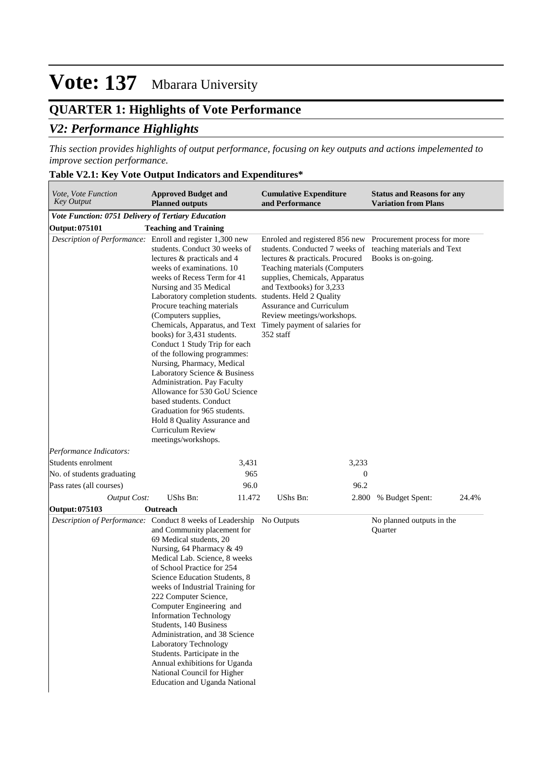# **QUARTER 1: Highlights of Vote Performance**

# *V2: Performance Highlights*

*This section provides highlights of output performance, focusing on key outputs and actions impelemented to improve section performance.*

### **Table V2.1: Key Vote Output Indicators and Expenditures\***

| Vote, Vote Function<br><b>Key Output</b>           | <b>Approved Budget and</b><br><b>Planned outputs</b>                                                                                                                                                                                                                                                                                                                                                                                                                                                                                                                                                                                                                                                                                                                    | <b>Cumulative Expenditure</b><br>and Performance                                                                                                                                                                                                                          | <b>Status and Reasons for any</b><br><b>Variation from Plans</b>                  |  |  |  |
|----------------------------------------------------|-------------------------------------------------------------------------------------------------------------------------------------------------------------------------------------------------------------------------------------------------------------------------------------------------------------------------------------------------------------------------------------------------------------------------------------------------------------------------------------------------------------------------------------------------------------------------------------------------------------------------------------------------------------------------------------------------------------------------------------------------------------------------|---------------------------------------------------------------------------------------------------------------------------------------------------------------------------------------------------------------------------------------------------------------------------|-----------------------------------------------------------------------------------|--|--|--|
| Vote Function: 0751 Delivery of Tertiary Education |                                                                                                                                                                                                                                                                                                                                                                                                                                                                                                                                                                                                                                                                                                                                                                         |                                                                                                                                                                                                                                                                           |                                                                                   |  |  |  |
| Output: 075101                                     | <b>Teaching and Training</b>                                                                                                                                                                                                                                                                                                                                                                                                                                                                                                                                                                                                                                                                                                                                            |                                                                                                                                                                                                                                                                           |                                                                                   |  |  |  |
|                                                    | Description of Performance: Enroll and register 1,300 new<br>students. Conduct 30 weeks of<br>lectures & practicals and 4<br>weeks of examinations. 10<br>weeks of Recess Term for 41<br>Nursing and 35 Medical<br>Laboratory completion students. students. Held 2 Quality<br>Procure teaching materials<br>(Computers supplies,<br>Chemicals, Apparatus, and Text Timely payment of salaries for<br>books) for 3,431 students.<br>Conduct 1 Study Trip for each<br>of the following programmes:<br>Nursing, Pharmacy, Medical<br>Laboratory Science & Business<br>Administration. Pay Faculty<br>Allowance for 530 GoU Science<br>based students. Conduct<br>Graduation for 965 students.<br>Hold 8 Quality Assurance and<br>Curriculum Review<br>meetings/workshops. | Enroled and registered 856 new<br>students. Conducted 7 weeks of<br>lectures & practicals. Procured<br>Teaching materials (Computers<br>supplies, Chemicals, Apparatus<br>and Textbooks) for 3,233<br>Assurance and Curriculum<br>Review meetings/workshops.<br>352 staff | Procurement process for more<br>teaching materials and Text<br>Books is on-going. |  |  |  |
| Performance Indicators:                            |                                                                                                                                                                                                                                                                                                                                                                                                                                                                                                                                                                                                                                                                                                                                                                         |                                                                                                                                                                                                                                                                           |                                                                                   |  |  |  |
| Students enrolment                                 | 3,431                                                                                                                                                                                                                                                                                                                                                                                                                                                                                                                                                                                                                                                                                                                                                                   | 3,233                                                                                                                                                                                                                                                                     |                                                                                   |  |  |  |
| No. of students graduating                         | 965                                                                                                                                                                                                                                                                                                                                                                                                                                                                                                                                                                                                                                                                                                                                                                     | $\boldsymbol{0}$                                                                                                                                                                                                                                                          |                                                                                   |  |  |  |
| Pass rates (all courses)                           | 96.0                                                                                                                                                                                                                                                                                                                                                                                                                                                                                                                                                                                                                                                                                                                                                                    | 96.2                                                                                                                                                                                                                                                                      |                                                                                   |  |  |  |
| <b>Output Cost:</b>                                | <b>UShs Bn:</b><br>11.472                                                                                                                                                                                                                                                                                                                                                                                                                                                                                                                                                                                                                                                                                                                                               | UShs Bn:<br>2.800                                                                                                                                                                                                                                                         | % Budget Spent:<br>24.4%                                                          |  |  |  |
| Output: 075103                                     | Outreach                                                                                                                                                                                                                                                                                                                                                                                                                                                                                                                                                                                                                                                                                                                                                                |                                                                                                                                                                                                                                                                           |                                                                                   |  |  |  |
|                                                    | Description of Performance: Conduct 8 weeks of Leadership<br>and Community placement for<br>69 Medical students, 20<br>Nursing, 64 Pharmacy & 49<br>Medical Lab. Science, 8 weeks<br>of School Practice for 254<br>Science Education Students, 8<br>weeks of Industrial Training for<br>222 Computer Science,<br>Computer Engineering and<br><b>Information Technology</b><br>Students, 140 Business<br>Administration, and 38 Science<br>Laboratory Technology<br>Students. Participate in the<br>Annual exhibitions for Uganda<br>National Council for Higher<br><b>Education and Uganda National</b>                                                                                                                                                                 | No Outputs                                                                                                                                                                                                                                                                | No planned outputs in the<br>Quarter                                              |  |  |  |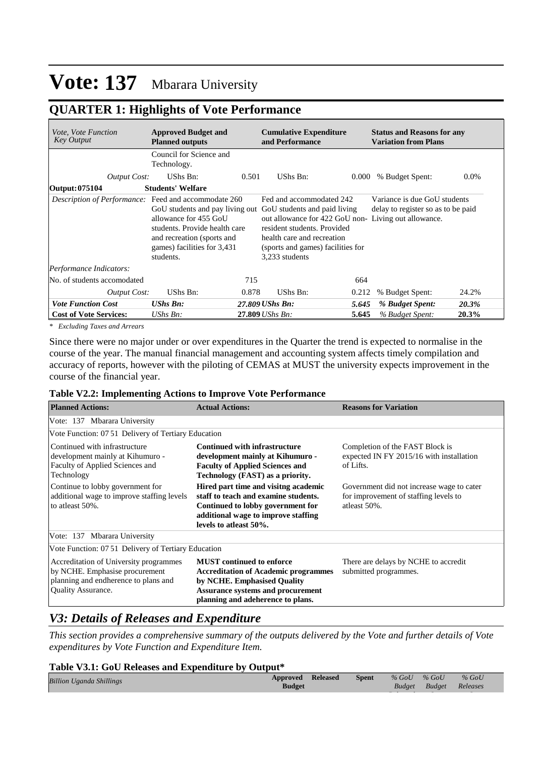# **QUARTER 1: Highlights of Vote Performance**

| <i>Vote, Vote Function</i><br><b>Key Output</b>      | <b>Approved Budget and</b><br><b>Planned outputs</b>                                                                             |                                                                                                                                                                                                                                                                                                                                           | <b>Cumulative Expenditure</b><br>and Performance |       | <b>Status and Reasons for any</b><br><b>Variation from Plans</b> |         |  |  |
|------------------------------------------------------|----------------------------------------------------------------------------------------------------------------------------------|-------------------------------------------------------------------------------------------------------------------------------------------------------------------------------------------------------------------------------------------------------------------------------------------------------------------------------------------|--------------------------------------------------|-------|------------------------------------------------------------------|---------|--|--|
|                                                      | Council for Science and<br>Technology.                                                                                           |                                                                                                                                                                                                                                                                                                                                           |                                                  |       |                                                                  |         |  |  |
| <b>Output Cost:</b>                                  | UShs Bn:                                                                                                                         | 0.501                                                                                                                                                                                                                                                                                                                                     | UShs Bn:                                         | 0.000 | % Budget Spent:                                                  | $0.0\%$ |  |  |
| Output: 075104                                       | <b>Students' Welfare</b>                                                                                                         |                                                                                                                                                                                                                                                                                                                                           |                                                  |       |                                                                  |         |  |  |
| Description of Performance: Feed and accommodate 260 | allowance for 455 GoU<br>students. Provide health care<br>and recreation (sports and<br>games) facilities for 3,431<br>students. | Variance is due GoU students<br>Fed and accommodated 242<br>GoU students and pay living out GoU students and paid living<br>delay to register so as to be paid<br>out allowance for 422 GoU non-Living out allowance.<br>resident students. Provided<br>health care and recreation<br>(sports and games) facilities for<br>3,233 students |                                                  |       |                                                                  |         |  |  |
| Performance Indicators:                              |                                                                                                                                  |                                                                                                                                                                                                                                                                                                                                           |                                                  |       |                                                                  |         |  |  |
| No. of students accomodated                          |                                                                                                                                  | 715                                                                                                                                                                                                                                                                                                                                       |                                                  | 664   |                                                                  |         |  |  |
| <b>Output Cost:</b>                                  | UShs Bn:                                                                                                                         | 0.878                                                                                                                                                                                                                                                                                                                                     | UShs Bn:                                         | 0.212 | % Budget Spent:                                                  | 24.2%   |  |  |
| <b>Vote Function Cost</b>                            | <b>UShs Bn:</b>                                                                                                                  |                                                                                                                                                                                                                                                                                                                                           | 27.809 UShs Bn:                                  | 5.645 | % Budget Spent:                                                  | 20.3%   |  |  |
| <b>Cost of Vote Services:</b>                        | $UShs Bn$ :                                                                                                                      |                                                                                                                                                                                                                                                                                                                                           | 27.809 UShs Bn:                                  | 5.645 | % Budget Spent:                                                  | 20.3%   |  |  |

*\* Excluding Taxes and Arrears*

Since there were no major under or over expenditures in the Quarter the trend is expected to normalise in the course of the year. The manual financial management and accounting system affects timely compilation and accuracy of reports, however with the piloting of CEMAS at MUST the university expects improvement in the course of the financial year.

#### **Table V2.2: Implementing Actions to Improve Vote Performance**

| <b>Planned Actions:</b>                                                                                                                       | <b>Actual Actions:</b>                                                                                                                                                                   | <b>Reasons for Variation</b>                                                                       |
|-----------------------------------------------------------------------------------------------------------------------------------------------|------------------------------------------------------------------------------------------------------------------------------------------------------------------------------------------|----------------------------------------------------------------------------------------------------|
| Vote: 137 Mbarara University                                                                                                                  |                                                                                                                                                                                          |                                                                                                    |
| Vote Function: 07.51 Delivery of Tertiary Education                                                                                           |                                                                                                                                                                                          |                                                                                                    |
| Continued with infrastructure<br>development mainly at Kihumuro -<br>Faculty of Applied Sciences and<br>Technology                            | <b>Continued with infrastructure</b><br>development mainly at Kihumuro -<br><b>Faculty of Applied Sciences and</b><br>Technology (FAST) as a priority.                                   | Completion of the FAST Block is<br>expected IN FY 2015/16 with installation<br>of Lifts.           |
| Continue to lobby government for<br>additional wage to improve staffing levels<br>to atleast 50%.                                             | Hired part time and visitng academic<br>staff to teach and examine students.<br>Continued to lobby government for<br>additional wage to improve staffing<br>levels to atleast 50%.       | Government did not increase wage to cater<br>for improvement of staffing levels to<br>atleast 50%. |
| Vote: 137 Mbarara University                                                                                                                  |                                                                                                                                                                                          |                                                                                                    |
| Vote Function: 07.51 Delivery of Tertiary Education                                                                                           |                                                                                                                                                                                          |                                                                                                    |
| Accreditation of University programmes<br>by NCHE. Emphasise procurement<br>planning and endherence to plans and<br><b>Quality Assurance.</b> | <b>MUST</b> continued to enforce<br><b>Accreditation of Academic programmes</b><br>by NCHE. Emphasised Quality<br>Assurance systems and procurement<br>planning and adeherence to plans. | There are delays by NCHE to accredit<br>submitted programmes.                                      |

## *V3: Details of Releases and Expenditure*

*This section provides a comprehensive summary of the outputs delivered by the Vote and further details of Vote expenditures by Vote Function and Expenditure Item.*

#### **Table V3.1: GoU Releases and Expenditure by Output\*** *Billion Uganda Shillings % GoU*  **Approved Released Spent***Budget % GoU Budget % GoU Releases*  **Budget**

*Released*

*Spent*

*Spent*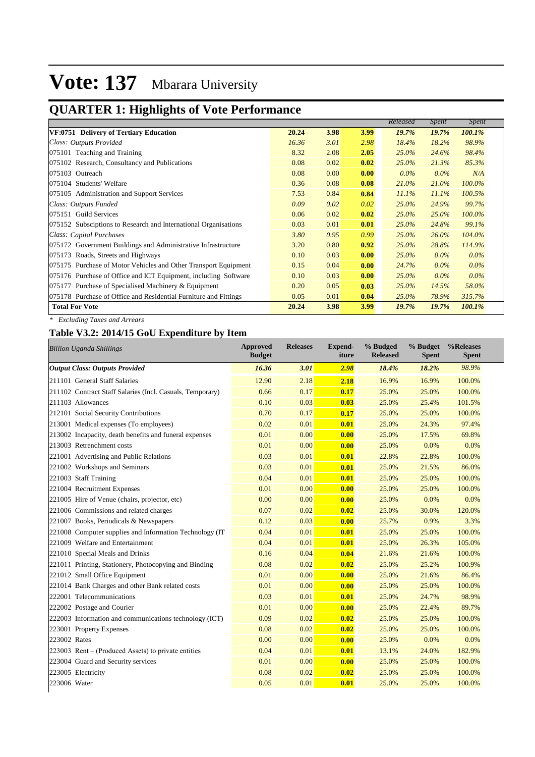#### **QUARTER 1: Highlights of Vote Performance Budget**

|                                                                  |       |      |      | Released | <i>Spent</i> | <i>Spent</i> |
|------------------------------------------------------------------|-------|------|------|----------|--------------|--------------|
| VF:0751 Delivery of Tertiary Education                           | 20.24 | 3.98 | 3.99 | 19.7%    | 19.7%        | 100.1%       |
| Class: Outputs Provided                                          | 16.36 | 3.01 | 2.98 | 18.4%    | 18.2%        | 98.9%        |
| 075101 Teaching and Training                                     | 8.32  | 2.08 | 2.05 | $25.0\%$ | 24.6%        | 98.4%        |
| 075102 Research, Consultancy and Publications                    | 0.08  | 0.02 | 0.02 | $25.0\%$ | 21.3%        | 85.3%        |
| 075103 Outreach                                                  | 0.08  | 0.00 | 0.00 | $0.0\%$  | $0.0\%$      | N/A          |
| 075104 Students' Welfare                                         | 0.36  | 0.08 | 0.08 | $21.0\%$ | 21.0%        | 100.0%       |
| 075105 Administration and Support Services                       | 7.53  | 0.84 | 0.84 | 11.1%    | 11.1%        | 100.5%       |
| Class: Outputs Funded                                            | 0.09  | 0.02 | 0.02 | 25.0%    | 24.9%        | 99.7%        |
| 075151 Guild Services                                            | 0.06  | 0.02 | 0.02 | $25.0\%$ | 25.0%        | 100.0%       |
| 075152 Subsciptions to Research and International Organisations  | 0.03  | 0.01 | 0.01 | $25.0\%$ | 24.8%        | 99.1%        |
| Class: Capital Purchases                                         | 3.80  | 0.95 | 0.99 | $25.0\%$ | $26.0\%$     | 104.0%       |
| 075172 Government Buildings and Administrative Infrastructure    | 3.20  | 0.80 | 0.92 | $25.0\%$ | 28.8%        | 114.9%       |
| 075173 Roads, Streets and Highways                               | 0.10  | 0.03 | 0.00 | $25.0\%$ | $0.0\%$      | $0.0\%$      |
| 075175 Purchase of Motor Vehicles and Other Transport Equipment  | 0.15  | 0.04 | 0.00 | 24.7%    | $0.0\%$      | $0.0\%$      |
| 075176 Purchase of Office and ICT Equipment, including Software  | 0.10  | 0.03 | 0.00 | $25.0\%$ | $0.0\%$      | $0.0\%$      |
| 075177 Purchase of Specialised Machinery & Equipment             | 0.20  | 0.05 | 0.03 | $25.0\%$ | 14.5%        | 58.0%        |
| 075178 Purchase of Office and Residential Furniture and Fittings | 0.05  | 0.01 | 0.04 | $25.0\%$ | 78.9%        | 315.7%       |
| <b>Total For Vote</b>                                            | 20.24 | 3.98 | 3.99 | 19.7%    | 19.7%        | 100.1%       |

*% GoU* 

*% GoU* 

*% GoU* 

*\* Excluding Taxes and Arrears*

### **Table V3.2: 2014/15 GoU Expenditure by Item**

| <b>Billion Uganda Shillings</b>                           | <b>Approved</b><br><b>Budget</b> | <b>Releases</b> | Expend-<br>iture | % Budged<br><b>Released</b> | % Budget<br><b>Spent</b> | %Releases<br><b>Spent</b> |
|-----------------------------------------------------------|----------------------------------|-----------------|------------------|-----------------------------|--------------------------|---------------------------|
| <b>Output Class: Outputs Provided</b>                     | 16.36                            | 3.01            | 2.98             | 18.4%                       | 18.2%                    | 98.9%                     |
| 211101 General Staff Salaries                             | 12.90                            | 2.18            | 2.18             | 16.9%                       | 16.9%                    | 100.0%                    |
| 211102 Contract Staff Salaries (Incl. Casuals, Temporary) | 0.66                             | 0.17            | 0.17             | 25.0%                       | 25.0%                    | 100.0%                    |
| 211103 Allowances                                         | 0.10                             | 0.03            | 0.03             | 25.0%                       | 25.4%                    | 101.5%                    |
| 212101 Social Security Contributions                      | 0.70                             | 0.17            | 0.17             | 25.0%                       | 25.0%                    | 100.0%                    |
| 213001 Medical expenses (To employees)                    | 0.02                             | 0.01            | 0.01             | 25.0%                       | 24.3%                    | 97.4%                     |
| 213002 Incapacity, death benefits and funeral expenses    | 0.01                             | 0.00            | 0.00             | 25.0%                       | 17.5%                    | 69.8%                     |
| 213003 Retrenchment costs                                 | 0.01                             | 0.00            | 0.00             | 25.0%                       | 0.0%                     | 0.0%                      |
| 221001 Advertising and Public Relations                   | 0.03                             | 0.01            | 0.01             | 22.8%                       | 22.8%                    | 100.0%                    |
| 221002 Workshops and Seminars                             | 0.03                             | 0.01            | 0.01             | 25.0%                       | 21.5%                    | 86.0%                     |
| 221003 Staff Training                                     | 0.04                             | 0.01            | 0.01             | 25.0%                       | 25.0%                    | 100.0%                    |
| 221004 Recruitment Expenses                               | 0.01                             | 0.00            | 0.00             | 25.0%                       | 25.0%                    | 100.0%                    |
| 221005 Hire of Venue (chairs, projector, etc)             | 0.00                             | 0.00            | 0.00             | 25.0%                       | 0.0%                     | 0.0%                      |
| 221006 Commissions and related charges                    | 0.07                             | 0.02            | 0.02             | 25.0%                       | 30.0%                    | 120.0%                    |
| 221007 Books, Periodicals & Newspapers                    | 0.12                             | 0.03            | 0.00             | 25.7%                       | 0.9%                     | 3.3%                      |
| 221008 Computer supplies and Information Technology (IT)  | 0.04                             | 0.01            | 0.01             | 25.0%                       | 25.0%                    | 100.0%                    |
| 221009 Welfare and Entertainment                          | 0.04                             | 0.01            | 0.01             | 25.0%                       | 26.3%                    | 105.0%                    |
| 221010 Special Meals and Drinks                           | 0.16                             | 0.04            | 0.04             | 21.6%                       | 21.6%                    | 100.0%                    |
| 221011 Printing, Stationery, Photocopying and Binding     | 0.08                             | 0.02            | 0.02             | 25.0%                       | 25.2%                    | 100.9%                    |
| 221012 Small Office Equipment                             | 0.01                             | 0.00            | 0.00             | 25.0%                       | 21.6%                    | 86.4%                     |
| 221014 Bank Charges and other Bank related costs          | 0.01                             | 0.00            | 0.00             | 25.0%                       | 25.0%                    | 100.0%                    |
| 222001 Telecommunications                                 | 0.03                             | 0.01            | 0.01             | 25.0%                       | 24.7%                    | 98.9%                     |
| 222002 Postage and Courier                                | 0.01                             | 0.00            | 0.00             | 25.0%                       | 22.4%                    | 89.7%                     |
| 222003 Information and communications technology (ICT)    | 0.09                             | 0.02            | 0.02             | 25.0%                       | 25.0%                    | 100.0%                    |
| 223001 Property Expenses                                  | 0.08                             | 0.02            | 0.02             | 25.0%                       | 25.0%                    | 100.0%                    |
| 223002 Rates                                              | 0.00                             | 0.00            | 0.00             | 25.0%                       | 0.0%                     | 0.0%                      |
| 223003 Rent – (Produced Assets) to private entities       | 0.04                             | 0.01            | 0.01             | 13.1%                       | 24.0%                    | 182.9%                    |
| 223004 Guard and Security services                        | 0.01                             | 0.00            | 0.00             | 25.0%                       | 25.0%                    | 100.0%                    |
| 223005 Electricity                                        | 0.08                             | 0.02            | 0.02             | 25.0%                       | 25.0%                    | 100.0%                    |
| 223006 Water                                              | 0.05                             | 0.01            | 0.01             | 25.0%                       | 25.0%                    | 100.0%                    |